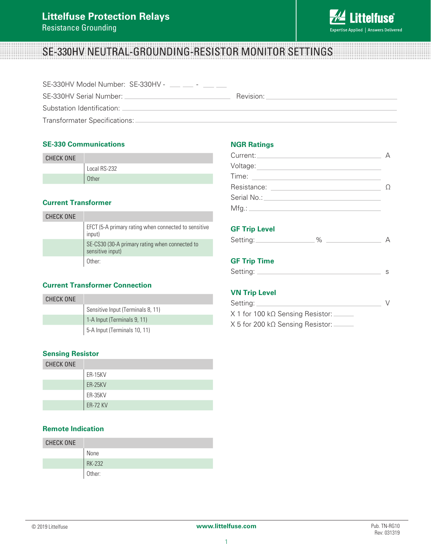

# SE-330HV NEUTRAL-GROUNDING-RESISTOR MONITOR SETTINGS

| SE-330HV Model Number: SE-330HV - __ _ _ - _ |           |
|----------------------------------------------|-----------|
| SE-330HV Serial Number: _                    | Revision: |
| Substation Identification: _                 |           |
| Transformater Specifications:                |           |

# **SE-330 Communications**

| <b>CHECK ONE</b> |              |
|------------------|--------------|
|                  | Local RS-232 |
|                  | <b>Other</b> |

# **Current Transformer**

| CHECK ONE |                                                                    |
|-----------|--------------------------------------------------------------------|
|           | EFCT (5-A primary rating when connected to sensitive<br>input)     |
|           | SE-CS30 (30-A primary rating when connected to<br>sensitive input) |
|           | Other:                                                             |

# **Current Transformer Connection**

| CHECK ONE |                                   |
|-----------|-----------------------------------|
|           | Sensitive Input (Terminals 8, 11) |
|           | 1-A Input (Terminals 9, 11)       |
|           | 5-A Input (Terminals 10, 11)      |

#### **Sensing Resistor**

| <b>CHECK ONE</b> |                 |
|------------------|-----------------|
|                  | <b>ER-15KV</b>  |
|                  | ER-25KV         |
|                  | ER-35KV         |
|                  | <b>ER-72 KV</b> |

#### **Remote Indication**

| <b>CHECK ONE</b> |               |
|------------------|---------------|
|                  | None          |
|                  | <b>RK-232</b> |
|                  | Other:        |

#### **NGR Ratings**

| Time:<br><u> 1989 - Andrea State Barbara, política e a provincia de la provincia de la provincia de la provincia de la pro</u> |  |
|--------------------------------------------------------------------------------------------------------------------------------|--|
| Resistance:<br><u> 1989 - Andrea State Barbara, política establece</u>                                                         |  |
|                                                                                                                                |  |
|                                                                                                                                |  |
|                                                                                                                                |  |

#### **GF Trip Level**

| Setting:<br>$-0.00$ |  |
|---------------------|--|
|                     |  |

# **GF Trip Time**

| Setting: |  |
|----------|--|
|          |  |

#### **VN Trip Level**

| Setting:                                     |  |
|----------------------------------------------|--|
| $X$ 1 for 100 k $\Omega$ Sensing Resistor:   |  |
| $X$ 5 for 200 k $\Omega$ Sensing Resistor: . |  |